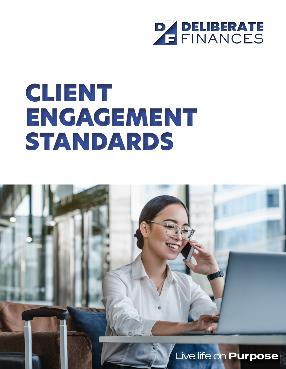

# CLIENT ENGAGEMENT STANDARDS

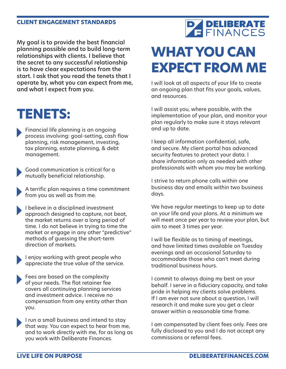My goal is to provide the best financial planning possible and to build long-term relationships with clients. I believe that the secret to any successful relationship is to have clear expectations from the start. I ask that you read the tenets that I operate by, what you can expect from me, and what I expect from you.

#### **TENETS:**

Financial life planning is an ongoing process involving: goal-setting, cash flow planning, risk management, investing, tax planning, estate planning, & debt management.

Good communication is critical for a mutually beneficial relationship.

A terrific plan requires a time commitment from you as well as from me.

I believe in a disciplined investment approach designed to capture, not beat, the market returns over a long period of time. I do not believe in trying to time the market or engage in any other "predictive" methods of guessing the short-term direction of markets.

I enjoy working with great people who appreciate the true value of the service.

- Fees are based on the complexity of your needs. The flat retainer fee covers all continuing planning services and investment advice. I receive no compensation from any entity other than you.
- I run a small business and intend to stay that way. You can expect to hear from me, and to work directly with me, for as long as you work with Deliberate Finances.

# **PAPELIBERATE**

### **WHAT YOU CAN EXPECT FROM ME**

I will look at all aspects of your life to create an ongoing plan that fits your goals, values, and resources.

I will assist you, where possible, with the implementation of your plan, and monitor your plan regularly to make sure it stays relevant and up to date.

I keep all information confidential, safe, and secure. My client portal has advanced security features to protect your data. I share information only as needed with other professionals with whom you may be working.

I strive to return phone calls within one business day and emails within two business days.

We have regular meetings to keep up to date on your life and your plans. At a minimum we will meet once per year to review your plan, but aim to meet 3 times per year.

I will be flexible as to timing of meetings, and have limited times available on Tuesday evenings and an occasional Saturday to accommodate those who can't meet during traditional business hours.

I commit to always doing my best on your behalf. I serve in a fiduciary capacity, and take pride in helping my clients solve problems. If I am ever not sure about a question, I will research it and make sure you get a clear answer within a reasonable time frame.

I am compensated by client fees only. Fees are fully disclosed to you and I do not accept any commissions or referral fees.